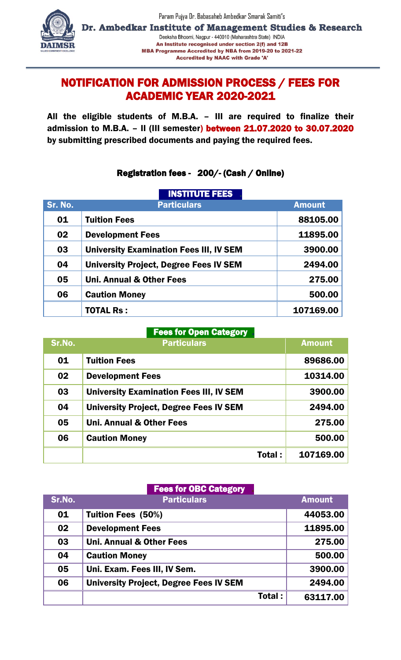

Dr. Ambedkar Institute of Management Studies & Research Deeksha Bhoomi, Nagpur - 440010 (Maharashtra State) INDIA An Institute recognised under section 2(f) and 12B MBA Programme Accredited by NBA from 2019-20 to 2021-22 **Accredited by NAAC with Grade 'A'** 

## NOTIFICATION FOR ADMISSION PROCESS / FEES FOR ACADEMIC YEAR 2020-2021

All the eligible students of M.B.A. – III are required to finalize their admission to M.B.A. – II (III semester) between 21.07.2020 to 30.07.2020 by submitting prescribed documents and paying the required fees.

## Registration fees - 200/- (Cash / Online)

|         | <b>INSTITUTE FEES</b>                          |               |
|---------|------------------------------------------------|---------------|
| Sr. No. | <b>Particulars</b>                             | <b>Amount</b> |
| 01      | <b>Tuition Fees</b>                            | 88105.00      |
| 02      | <b>Development Fees</b>                        | 11895.00      |
| 03      | <b>University Examination Fees III, IV SEM</b> | 3900.00       |
| 04      | <b>University Project, Degree Fees IV SEM</b>  | 2494.00       |
| 05      | <b>Uni. Annual &amp; Other Fees</b>            | 275.00        |
| 06      | <b>Caution Money</b>                           | 500.00        |
|         | <b>TOTAL Rs:</b>                               | 107169.00     |

## I **Fees for Open Category**

| Sr.No. | <b>Particulars</b>                             | <b>Amount</b> |
|--------|------------------------------------------------|---------------|
| 01     | <b>Tuition Fees</b>                            | 89686.00      |
| 02     | <b>Development Fees</b>                        | 10314.00      |
| 03     | <b>University Examination Fees III, IV SEM</b> | 3900.00       |
| 04     | <b>University Project, Degree Fees IV SEM</b>  | 2494.00       |
| 05     | <b>Uni. Annual &amp; Other Fees</b>            | 275.00        |
| 06     | <b>Caution Money</b>                           | 500.00        |
|        | Total :                                        | 107169.00     |

I

|        | <b>Fees for OBC Category</b>                  |               |
|--------|-----------------------------------------------|---------------|
| Sr.No. | <b>Particulars</b>                            | <b>Amount</b> |
| 01     | <b>Tuition Fees (50%)</b>                     | 44053.00      |
| 02     | <b>Development Fees</b>                       | 11895.00      |
| 03     | <b>Uni. Annual &amp; Other Fees</b>           | 275.00        |
| 04     | <b>Caution Money</b>                          | 500.00        |
| 05     | Uni. Exam. Fees III, IV Sem.                  | 3900.00       |
| 06     | <b>University Project, Degree Fees IV SEM</b> | 2494.00       |
|        | Total:                                        | 63117.00      |